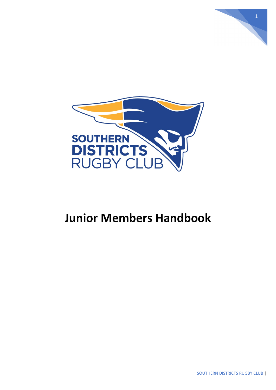

# **Junior Members Handbook**

1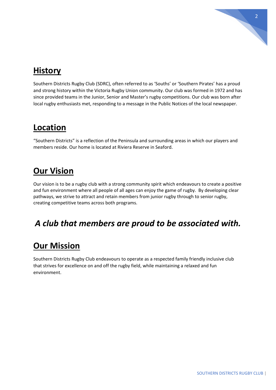

# **History**

Southern Districts Rugby Club (SDRC), often referred to as 'Souths' or 'Southern Pirates' has a proud and strong history within the Victoria Rugby Union community. Our club was formed in 1972 and has since provided teams in the Junior, Senior and Master's rugby competitions. Our club was born after local rugby enthusiasts met, responding to a message in the Public Notices of the local newspaper.

# **Location**

"Southern Districts" is a reflection of the Peninsula and surrounding areas in which our players and members reside. Our home is located at Riviera Reserve in Seaford.

# **Our Vision**

Our vision is to be a rugby club with a strong community spirit which endeavours to create a positive and fun environment where all people of all ages can enjoy the game of rugby. By developing clear pathways, we strive to attract and retain members from junior rugby through to senior rugby, creating competitive teams across both programs.

# *A club that members are proud to be associated with.*

# **Our Mission**

Southern Districts Rugby Club endeavours to operate as a respected family friendly inclusive club that strives for excellence on and off the rugby field, while maintaining a relaxed and fun environment.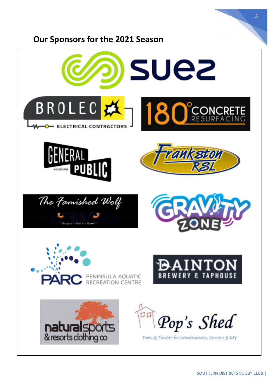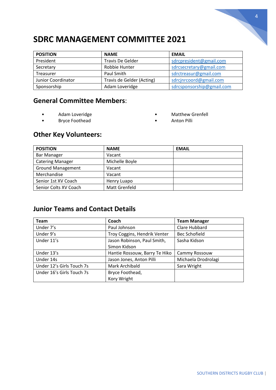# **SDRC MANAGEMENT COMMITTEE 2021**

| <b>POSITION</b>    | <b>NAME</b>               | <b>EMAIL</b>              |
|--------------------|---------------------------|---------------------------|
| President          | Travis De Gelder          | sdrcpresident@gmail.com   |
| Secretary          | Robbie Hunter             | sdrcsecretary@gmail.com   |
| Treasurer          | Paul Smith                | sdrctreasur@gmail.com     |
| Junior Coordinator | Travis de Gelder (Acting) | sdrcjnrcoord@gmail.com    |
| Sponsorship        | Adam Loveridge            | sdrcsponsorship@gmail.com |

## **General Committee Members**:

• Adam Loveridge

• Matthew Grenfell

• Bryce Foothead

• Anton Pilli

## **Other Key Volunteers:**

| <b>POSITION</b>          | <b>NAME</b>          | <b>EMAIL</b> |
|--------------------------|----------------------|--------------|
| <b>Bar Manager</b>       | Vacant               |              |
| <b>Catering Manager</b>  | Michelle Boyle       |              |
| <b>Ground Management</b> | Vacant               |              |
| Merchandise              | Vacant               |              |
| Senior 1st XV Coach      | Henry Luapo          |              |
| Senior Colts XV Coach    | <b>Matt Grenfeld</b> |              |

## **Junior Teams and Contact Details**

| Team                      | Coach                         | <b>Team Manager</b> |
|---------------------------|-------------------------------|---------------------|
| Under 7's                 | Paul Johnson                  | Clare Hubbard       |
| Under 9's                 | Troy Coggins, Hendrik Venter  | Bec Schofield       |
| Under 11's                | Jason Robinson, Paul Smith,   | Sasha Kidson        |
|                           | Simon Kidson                  |                     |
| Under 13's                | Hantie Rossouw, Barry Te Hiko | Cammy Rossouw       |
| Under 14s                 | Jason Jones, Anton Pilli      | Michaela Drodrolagi |
| Under 12's Girls Touch 7s | Mark Archibald                | Sara Wright         |
| Under 16's Girls Touch 7s | Bryce Foothead,               |                     |
|                           | Kory Wright                   |                     |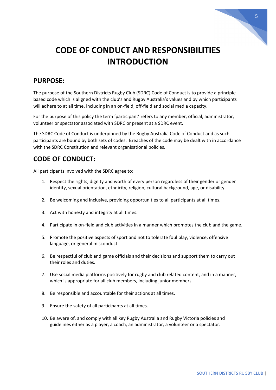

# **CODE OF CONDUCT AND RESPONSIBILITIES INTRODUCTION**

### **PURPOSE:**

The purpose of the Southern Districts Rugby Club (SDRC) Code of Conduct is to provide a principlebased code which is aligned with the club's and Rugby Australia's values and by which participants will adhere to at all time, including in an on-field, off-field and social media capacity.

For the purpose of this policy the term 'participant' refers to any member, official, administrator, volunteer or spectator associated with SDRC or present at a SDRC event.

The SDRC Code of Conduct is underpinned by the [Rugby Australia Code of Conduct](about:blank) and as such participants are bound by both sets of codes. Breaches of the code may be dealt with in accordance with the SDRC Constitution and relevant organisational policies.

## **CODE OF CONDUCT:**

All participants involved with the SDRC agree to:

- 1. Respect the rights, dignity and worth of every person regardless of their gender or gender identity, sexual orientation, ethnicity, religion, cultural background, age, or disability.
- 2. Be welcoming and inclusive, providing opportunities to all participants at all times.
- 3. Act with honesty and integrity at all times.
- 4. Participate in on-field and club activities in a manner which promotes the club and the game.
- 5. Promote the positive aspects of sport and not to tolerate foul play, violence, offensive language, or general misconduct.
- 6. Be respectful of club and game officials and their decisions and support them to carry out their roles and duties.
- 7. Use social media platforms positively for rugby and club related content, and in a manner, which is appropriate for all club members, including junior members.
- 8. Be responsible and accountable for their actions at all times.
- 9. Ensure the safety of all participants at all times.
- 10. Be aware of, and comply with all ke[y Rugby Australia and Rugby Victoria policies and](about:blank)  [guidelines](about:blank) either as a player, a coach, an administrator, a volunteer or a spectator.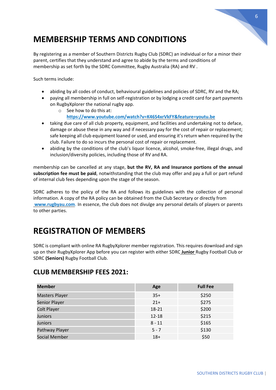# **MEMBERSHIP TERMS AND CONDITIONS**

By registering as a member of Southern Districts Rugby Club (SDRC) an individual or for a minor their parent, certifies that they understand and agree to abide by the terms and conditions of membership as set forth by the SDRC Committee, Rugby Australia (RA) and RV .

Such terms include:

- abiding by all codes of conduct, behavioural guidelines and policies of SDRC, RV and the RA;
- paying all membership in full on self-registration or by lodging a credit card for part payments on RugbyXplorer the national rugby app.
	- o See how to do this at:
		- **<https://www.youtube.com/watch?>[v=K46S4xrVkFY&feature=youtu.be](https://www.youtube.com/watch?v=K46S4xrVkFY&feature=youtu.be)**
- taking due care of all club property, equipment, and facilities and undertaking not to deface, damage or abuse these in any way and if necessary pay for the cost of repair or replacement; safe keeping all club equipment loaned or used, and ensuring it's return when required by the club. Failure to do so incurs the personal cost of repair orreplacement.
- abiding by the conditions of the club's liquor licence, alcohol, smoke-free, illegal drugs, and inclusion/diversity policies, including those of RV and RA.

membership can be cancelled at any stage, **but the RV, RA and Insurance portions of the annual subscription fee must be paid**, notwithstanding that the club may offer and pay a full or part refund of internal club fees depending upon the stage of the season.

SDRC adheres to the policy of the RA and follows its guidelines with the collection of personal information. A copy of the RA policy can be obtained from the Club Secretary or directly from **[www.rugbyau.com](http://www.rugbyau.com/)**. In essence, the club does not divulge any personal details of players or parents to other parties.

# **REGISTRATION OF MEMBERS**

SDRC is compliant with online RA RugbyXplorer member registration. This requires download and sign up on their RugbyXplorer App before you can register with either SDRC **Junior** Rugby Football Club or SDRC **(Seniors)** Rugby Football Club.

## **CLUB MEMBERSHIP FEES 2021:**

| <b>Member</b>         | Age       | <b>Full Fee</b> |
|-----------------------|-----------|-----------------|
| <b>Masters Player</b> | $35+$     | \$250           |
| Senior Player         | $21+$     | \$275           |
| <b>Colt Player</b>    | 18-21     | \$200           |
| <b>Juniors</b>        | $12 - 18$ | \$215           |
| <b>Juniors</b>        | $8 - 11$  | \$165           |
| Pathway Player        | $5 - 7$   | \$130           |
| Social Member         | $18+$     | \$50            |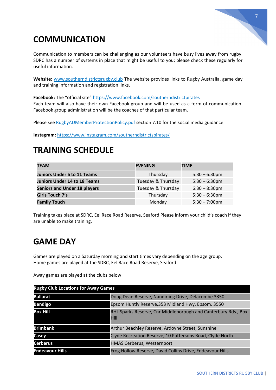

# **COMMUNICATION**

Communication to members can be challenging as our volunteers have busy lives away from rugby. SDRC has a number of systems in place that might be useful to you; please check these regularly for useful information.

**Website:** [www.southerndistrictsrugby.club](http://www.southerndistrictsrugby.club/) The website provides links to Rugby Australia, game day and training information and registration links.

Facebook: The "official site" <https://www.facebook.com/southerndistrictpirates> Each team will also have their own Facebook group and will be used as a form of communication. Facebook group administration will be the coaches of that particular team.

Please see RugbyAUMemberProtectionPolicy.pdf section 7.10 for the social media guidance.

**Instagram:** <https://www.instagram.com/southerndistrictspirates/>

# **TRAINING SCHEDULE**

| <b>TEAM</b>                         | <b>EVENING</b>     | <b>TIME</b>             |
|-------------------------------------|--------------------|-------------------------|
| <b>Juniors Under 6 to 11 Teams</b>  | Thursday           | $5:30 - 6:30$ pm        |
| <b>Juniors Under 14 to 18 Teams</b> | Tuesday & Thursday | $5:30 - 6:30$ pm        |
| <b>Seniors and Under 18 players</b> | Tuesday & Thursday | $6:30 - 8:30$ pm        |
| Girls Touch 7's                     | Thursday           | $5:30 - 6:30$ pm        |
| <b>Family Touch</b>                 | Monday             | $5:30 - 7:00 \text{pm}$ |

Training takes place at SDRC, Eel Race Road Reserve, Seaford Please inform your child's coach if they are unable to make training.

# **GAME DAY**

Games are played on a Saturday morning and start times vary depending on the age group. Home games are played at the SDRC, Eel Race Road Reserve, Seaford.

Away games are played at the clubs below

| <b>Rugby Club Locations for Away Games</b> |                                                                               |
|--------------------------------------------|-------------------------------------------------------------------------------|
| <b>Ballarat</b>                            | Doug Dean Reserve, Nandiriiog Drive, Delacombe 3350                           |
| <b>Bendigo</b>                             | Epsom Huntly Reserve, 353 Midland Hwy, Epsom. 3550                            |
| <b>Box Hill</b>                            | RHL Sparks Reserve, Cnr Middleborough and Canterbury Rds., Box<br><b>Hill</b> |
| <b>Brimbank</b>                            | Arthur Beachley Reserve, Ardoyne Street, Sunshine                             |
| Casey                                      | Clyde Recreation Reserve, 10 Pattersons Road, Clyde North                     |
| <b>Cerberus</b>                            | <b>HMAS Cerberus, Westernport</b>                                             |
| <b>Endeavour Hills</b>                     | Frog Hollow Reserve, David Collins Drive, Endeavour Hills                     |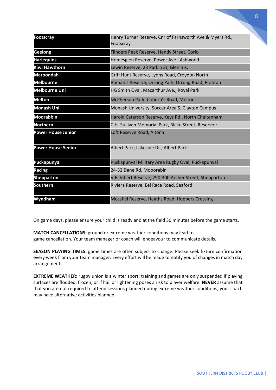|                           |                                                                       | 8 |
|---------------------------|-----------------------------------------------------------------------|---|
|                           |                                                                       |   |
|                           |                                                                       |   |
| <b>Footscray</b>          | Henry Turner Reserve, Cnr of Farnsworth Ave & Myers Rd.,<br>Footscray |   |
| <b>Geelong</b>            | Flinders Peak Reserve, Hendy Street, Corio                            |   |
| <b>Harlequins</b>         | Homesglen Reserve, Power Ave., Ashwood                                |   |
| <b>Kiwi Hawthorn</b>      | Lewin Reserve, 23 Parkin St, Glen Iris.                               |   |
| <b>Maroondah</b>          | Griff Hunt Reserve, Lyons Road, Croydon North                         |   |
| <b>Melbourne</b>          | Romanis Reserve, Orrong Park, Orrong Road, Prahran                    |   |
| <b>Melbourne Uni</b>      | HG Smith Oval, Macarthur Ave., Royal Park                             |   |
| <b>Melton</b>             | McPherson Park, Coburn's Road, Melton                                 |   |
| <b>Monash Uni</b>         | Monash University, Soccer Area 5, Clayton Campus                      |   |
| <b>Moorabbin</b>          | Harold Caterson Reserve, Keys Rd., North Cheltenham                   |   |
| <b>Northern</b>           | C.H. Sullivan Memorial Park, Blake Street, Reservoir                  |   |
| <b>Power House Junior</b> | Loft Reserve Road, Altona                                             |   |
| <b>Power House Senior</b> | Albert Park, Lakeside Dr., Albert Park                                |   |
| Puckapunyal               | Puckapunyal Military Area Rugby Oval, Puckapunyal                     |   |
| <b>Racing</b>             | 24-32 Dane Rd, Mooorabin                                              |   |
| <b>Shepparton</b>         | V.E. Vibert Reserve, 290-300 Archer Street, Shepparton                |   |
| <b>Southern</b>           | Riviera Reserve, Eel Race Road, Seaford                               |   |
| Wyndham                   | Mossfiel Reserve, Heaths Road, Hoppers Crossing                       |   |

On game days, please ensure your child is ready and at the field 30 minutes before the game starts.

**MATCH CANCELLATIONS:** ground or extreme weather conditions may lead to game cancellation. Your team manager or coach will endeavour to communicate details.

**SEASON PLAYING TIMES:** game times are often subject to change. Please seek fixture confirmation every week from your team manager. Every effort will be made to notify you of changes in match day arrangements.

**EXTREME WEATHER:** rugby union is a winter sport; training and games are only suspended if playing surfaces are flooded, frozen, or if hail or lightening poses a risk to player welfare. **NEVER** assume that that you are not required to attend sessions planned during extreme weather conditions; your coach may have alternative activities planned.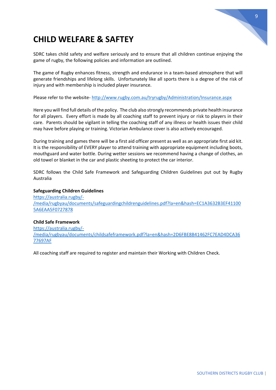

# **CHILD WELFARE & SAFTEY**

SDRC takes child safety and welfare seriously and to ensure that all children continue enjoying the game of rugby, the following policies and information are outlined.

The game of Rugby enhances fitness, strength and endurance in a team-based atmosphere that will generate friendships and lifelong skills. Unfortunately like all sports there is a degree of the risk of injury and with membership is included player insurance.

Please refer to the website- <http://www.rugby.com.au/tryrugby/Administration/Insurance.aspx>

Here you will find full details of the policy. The club also strongly recommends private health insurance for all players. Every effort is made by all coaching staff to prevent injury or risk to players in their care. Parents should be vigilant in telling the coaching staff of any illness or health issues their child may have before playing or training. Victorian Ambulance cover is also actively encouraged.

During training and games there will be a first aid officer present as well as an appropriate first aid kit. It is the responsibility of EVERY player to attend training with appropriate equipment including boots, mouthguard and water bottle. During wetter sessions we recommend having a change of clothes, an old towel or blanket in the car and plastic sheeting to protect the car interior.

SDRC follows the Child Safe Framework and Safeguarding Children Guidelines put out by Rugby Australia

### **Safeguarding Children Guidelines**

[https://australia.rugby/-](https://australia.rugby/-/media/rugbyau/documents/safeguardingchildrenguidelines.pdf?la=en&hash=EC1A3632B3EF411005A6EAA5F0727878) [/media/rugbyau/documents/safeguardingchildrenguidelines.pdf?la=en&hash=EC1A3632B3EF41100](https://australia.rugby/-/media/rugbyau/documents/safeguardingchildrenguidelines.pdf?la=en&hash=EC1A3632B3EF411005A6EAA5F0727878) [5A6EAA5F0727878](https://australia.rugby/-/media/rugbyau/documents/safeguardingchildrenguidelines.pdf?la=en&hash=EC1A3632B3EF411005A6EAA5F0727878)

### **Child Safe Framework**

[https://australia.rugby/-](https://australia.rugby/-/media/rugbyau/documents/childsafeframework.pdf?la=en&hash=2D6FBE8B41462FC7EAD4DCA3677697AF) [/media/rugbyau/documents/childsafeframework.pdf?la=en&hash=2D6FBE8B41462FC7EAD4DCA36](https://australia.rugby/-/media/rugbyau/documents/childsafeframework.pdf?la=en&hash=2D6FBE8B41462FC7EAD4DCA3677697AF) [77697AF](https://australia.rugby/-/media/rugbyau/documents/childsafeframework.pdf?la=en&hash=2D6FBE8B41462FC7EAD4DCA3677697AF)

All coaching staff are required to register and maintain their Working with Children Check.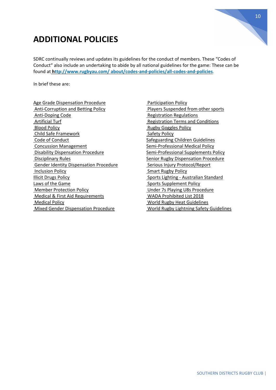# **ADDITIONAL POLICIES**

SDRC continually reviews and updates its guidelines for the conduct of members. These "Codes of Conduct" also include an undertaking to abide by all national guidelines for the game: These can be found at **<http://www.rugbyau.com/> about/codes-and-policies/all-codes-and-policies**.

In brief these are:

[Age Grade Dispensation Procedure](http://www.rugbyau.com/-/media/rugbyau/documents/rugbyaustraliaagegradedispensationprocedure.pdf?la=en&hash=FD2F254A12CFEB82EBD40B631A707BE2) [Anti-Corruption and Betting Policy](http://www.rugbyau.com/-/media/rugbyau/documents/rugbyaustraliaanti-corruptionandbettingpolicy.pdf?la=en&hash=E990C20823FAEEA7DB74AD1226612A90) [Anti-Doping Code](http://www.rugbyau.com/-/media/rugbyau/documents/rugby-au-anti-doping-code-2019/rugbyauanti-dopingcode.pdf?la=en&hash=0BC19CA87A5199BC4EAC82D12CFDD50D) [Artificial Turf](http://www.rugbyau.com/-/media/rugbyau/documents/artificialturf.pdf?la=en&hash=27E309D46BAA1389682DB7C72B61BC4D)  [Blood Policy](http://www.rugbyau.com/-/media/rugbyau/documents/rugbyaubloodpolicy.pdf?la=en&hash=4F4BD9B4DA44B5358EEBCDD970962B85) [Child Safe Framework](http://www.rugbyau.com/-/media/rugbyau/documents/childsafeframework.pdf?la=en&hash=2D6FBE8B41462FC7EAD4DCA3677697AF) [Code of Conduct](http://www.rugbyau.com/-/media/rugbyau/documents/rugbyaucodeofconduct.pdf?la=en&hash=8EE8F8D77E02DE7F1ED033BDC50F2AD8) [Concussion Management](http://www.rugbyau.com/-/media/rugbyau/documents/rugbyaustraliaconcussionmanagementprocedure.pdf?la=en&hash=9B910F36360AD276106BF25961EB1FC2) [Disability Dispensation Procedure](http://www.rugbyau.com/-/media/rugbyau/documents/disabilitydispensationprocedure.pdf?la=en&hash=47082AEE61A2C0C18BA96C3E67A08941)  [Disciplinary Rules](http://www.rugbyau.com/-/media/rugbyau/documents/rugbyaudisciplinaryrules2018.pdf?la=en&hash=88D8D45FF82258D7785FD4DA17256903) [Gender Identity Dispensation Procedure](http://www.rugbyau.com/-/media/rugbyau/documents/rugbyaustraliagenderidentitydispensationprocedure.pdf?la=en&hash=FC6BC72FE959F95E885F2E14355E0024) [Inclusion Policy](http://www.rugbyau.com/-/media/rugbyau/documents/rugby-au-inclusion-policy.pdf?la=en&hash=33C027FF1F0A9F874A17B9DED5E9ACFB) [Illicit Drugs](http://www.rugbyau.com/-/media/rugbyau/documents/rugbyauillicitdrugspolicy.pdf?la=en&hash=F006FD80DA4A0287B45A20994996E573) Policy [Laws of the](https://laws.worldrugby.org/index.php?&language=EN) Game [Member Protection Policy](http://www.rugbyau.com/-/media/rugbyau/documents/rugbyaumemberprotectionpolicy.pdf?la=en&hash=3C2272B5D1D5684E7B4A611EFE1CCDB5) [Medical & First Aid Requirements](http://www.rugbyau.com/-/media/rugbyau/documents/rugbyaustraliamedicalandfirstaidrequirements.pdf?la=en&hash=A73FC7E839CE4F772AC8C38217EDDE64) [Medical Policy](http://www.rugbyau.com/-/media/rugbyau/documents/rugbyaumedicalpolicy.pdf?la=en&hash=D240DA26A8A8D7531C0CE24141C1779A) [Mixed Gender Dispensation Procedure](http://www.rugbyau.com/-/media/rugbyau/documents/mixedgenderdispensationprocedure.pdf?la=en&hash=3BD5C54CA20BD61149B8D53703289E62)

[Participation Policy](http://www.rugbyau.com/-/media/rugbyau/documents/rugbyaustraliaparticipationpolicy.pdf?la=en&hash=9531F38F471F060FC8C8DF70F6BB2B45) [Players Suspended from other sports](http://www.rugbyau.com/-/media/rugbyau/documents/suspensions-and-sanctions-in-other-sports.pdf?la=en&hash=D697FBDF9B562EDC6B131A816E538215) [Registration Regulations](http://www.rugbyau.com/-/media/rugbyau/documents/rugby-australia-registration-regulations-2019.pdf?la=en&hash=518842423BBE3A345677F8111DAD1FC2) [Registration Terms and Conditions](http://www.rugbyau.com/-/media/rugbyau/documents/rugby-au-registration-terms-and-conditions-2019.pdf?la=en&hash=416E5C4BFA15565B9F5E44697EED031A)  [Rugby Goggles Policy](http://www.rugbyau.com/-/media/rugbyau/documents/rugbygogglespolicy.pdf?la=en&hash=3480997CE70E60BA2188A3298A7D1950) [Safety Policy](http://www.rugbyau.com/-/media/rugbyau/documents/rugbyaustraliasafetypolicy.pdf?la=en&hash=3199BB4A60BC2FD09315C8C19E95108A) [Safeguarding Children](http://www.rugbyau.com/-/media/rugbyau/documents/safeguardingchildrenguidelines.pdf?la=en&hash=EC1A3632B3EF411005A6EAA5F0727878) Guidelines [Semi-Professional Medical](http://www.rugbyau.com/-/media/rugbyau/documents/rugbyausemi-professionalmedicalpolicy.pdf?la=en&hash=26C543F279506B3B5B9E5E2F90CFE0FF) Policy [Semi-Professional Supplements](http://www.rugbyau.com/-/media/rugbyau/documents/rugbyausemi-professionalsupplementspolicy.pdf?la=en&hash=3F8234ECA4D3F59DD35A3AF35215E6CA) Policy [Senior Rugby Dispensation](http://www.rugbyau.com/-/media/rugbyau/documents/rugbyaustraliaseniorrugbydispensationprocedure.pdf?la=en&hash=08311D1EDD1270FD2BC710D287AB40D5) Procedure [Serious Injury Protocol/Report](https://www.rugbyau.com/about/codes-and-policies/safety-and-welfare/serious-injuries) [Smart Rugby Policy](http://www.rugbyau.com/-/media/rugbyau/documents/rugbyausmartrugbypolicy.pdf?la=en&hash=3CD78348D711193C5135DA24DA2FFC71) Sports Lighting - [Australian Standard](http://www.rugbyau.com/-/media/rugbyau/documents/sportslightingaustralianstandard.pdf?la=en&hash=22A0B5A8F820501F4769CD6DDBEBCF84) [Sports Supplement Policy](http://www.rugbyau.com/-/media/rugbyau/documents/rugbyausportssupplementspolicy.pdf?la=en&hash=4A965451F33893422D10725B879CE3D5) [Under 7s Playing U8s Procedure](http://www.rugbyau.com/-/media/u7playingu8procedure.pdf?la=en&hash=B002BD14DF092665C75F53BF269EAC28) [WADA Prohibited List 2018](https://www.wada-ama.org/en/content/what-is-prohibited) [World Rugby Heat Guidelines](http://www.rugbyau.com/-/media/rugbyau/documents/worldrugbyheatguidelines.pdf?la=en&hash=8E9440D217021DDE591418C4130D9829) [World Rugby Lightning Safety Guidelines](http://www.rugbyau.com/-/media/rugbyau/documents/worldrugbylightningsafetyguideline.pdf?la=en&hash=E8D8EC1AE51CCA98749ED8BA717DE778)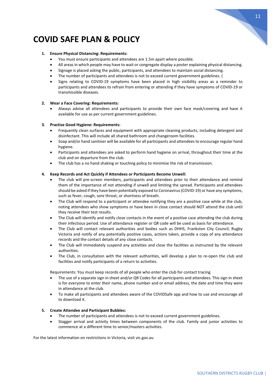

# **COVID SAFE PLAN & POLICY**

### **1. Ensure Physical Distancing: Requirements:**

- You must ensure participants and attendees are 1.5m apart where possible.
- All areas in which people may have to wait or congregate display a poster explaining physical distancing.
- Signage is placed asking the public, participants, and attendees to maintain social distancing.
- The number of participants and attendees is not to exceed current government guidelines. (
- Signs relating to COVID-19 symptoms have been placed in high visibility areas as a reminder to participants and attendees to refrain from entering or attending if they have symptoms of COVID-19 or transmissible diseases.

### **2. Wear a Face Covering: Requirements:**

• Always advise all attendees and participants to provide their own face mask/covering and have it available for use as per current government guidelines.

### **3. Practise Good Hygiene: Requirements:**

- Frequently clean surfaces and equipment with appropriate cleaning products, including detergent and disinfectant. This will include all shared bathroom and changeroom facilities.
- Soap and/or hand sanitiser will be available for all participants and attendees to encourage regular hand hygiene.
- Participants and attendees are asked to perform hand hygiene on arrival, throughout their time at the club and on departure from the club.
- The club has a no hand shaking or touching policy to minimise the risk of transmission.

### **4. Keep Records and Act Quickly if Attendees or Participants Become Unwell:**

- The club will pre-screen members, participants and attendees prior to their attendance and remind them of the importance of not attending if unwell and limiting the spread. Participants and attendees should be asked if they have been potentially exposed to Coronavirus (COVID-19) or have any symptoms, such as fever, cough, sore throat, or shortness of breath.
- The Club will respond to a participant or attendee notifying they are a positive case while at the club, noting attendees who show symptoms or have been in close contact should NOT attend the club until they receive their test results.
- The Club will identify and notify close contacts in the event of a positive case attending the club during their infectious period. Use of attendance register or QR code will be used as basis for attendance.
- The Club will contact relevant authorities and bodies such as DHHS, Frankston City Council, Rugby Victoria and notify of any potentially positive cases, actions taken, provide a copy of any attendance records and the contact details of any close contacts.
- The Club will immediately suspend any activities and close the facilities as instructed by the relevant authorities.
- The Club, in consultation with the relevant authorities, will develop a plan to re-open the club and facilities and notify participants of a return to activities.

Requirements: You must keep records of all people who enter the club for contact tracing.

- The use of a separate sign in sheet and/or QR Codes for all participants and attendees. This sign in sheet is for everyone to enter their name, phone number and or email address, the date and time they were in attendance at the club.
- To make all participants and attendees aware of the COVIDSafe app and how to use and encourage all to download it.

### **5. Create Attendee and Participant Bubbles:**

- The number of participants and attendees is not to exceed current government guidelines.
- Stagger arrival and activity times between components of the club. Family and junior activities to commence at a different time to senior/masters activities.

For the latest information on restrictions in Victoria, visit vic.gov.au